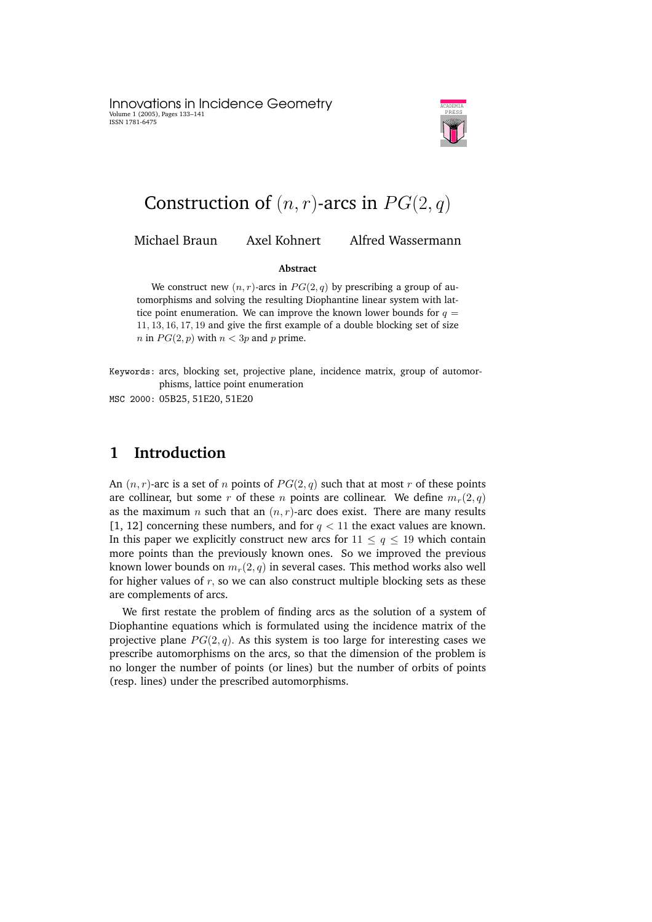Innovations in Incidence Geometry Volume 1 (2005), Pages 133–141 ISSN 1781-6475



# Construction of  $(n, r)$ -arcs in  $PG(2, q)$

Michael Braun Axel Kohnert Alfred Wassermann

### **Abstract**

We construct new  $(n, r)$ -arcs in  $PG(2, q)$  by prescribing a group of automorphisms and solving the resulting Diophantine linear system with lattice point enumeration. We can improve the known lower bounds for  $q =$ 11, 13, 16, 17, 19 and give the first example of a double blocking set of size *n* in  $PG(2, p)$  with  $n < 3p$  and p prime.

Keywords: arcs, blocking set, projective plane, incidence matrix, group of automorphisms, lattice point enumeration

MSC 2000: 05B25, 51E20, 51E20

### **1 Introduction**

An  $(n, r)$ -arc is a set of n points of  $PG(2, q)$  such that at most r of these points are collinear, but some r of these n points are collinear. We define  $m_r(2, q)$ as the maximum *n* such that an  $(n, r)$ -arc does exist. There are many results [1, 12] concerning these numbers, and for  $q < 11$  the exact values are known. In this paper we explicitly construct new arcs for  $11 \le q \le 19$  which contain more points than the previously known ones. So we improved the previous known lower bounds on  $m_r(2, q)$  in several cases. This method works also well for higher values of  $r$ , so we can also construct multiple blocking sets as these are complements of arcs.

We first restate the problem of finding arcs as the solution of a system of Diophantine equations which is formulated using the incidence matrix of the projective plane  $PG(2, q)$ . As this system is too large for interesting cases we prescribe automorphisms on the arcs, so that the dimension of the problem is no longer the number of points (or lines) but the number of orbits of points (resp. lines) under the prescribed automorphisms.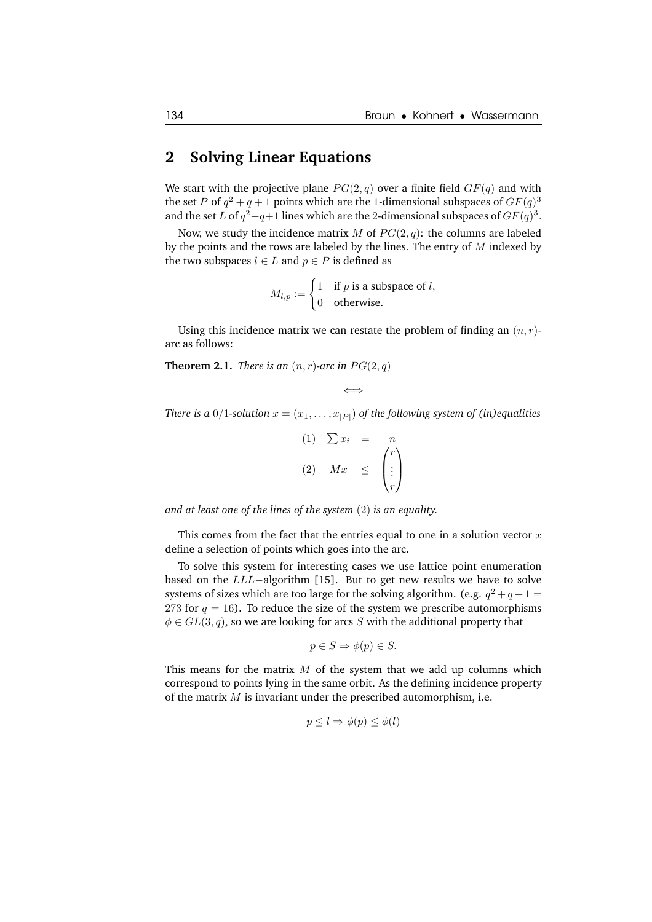### **2 Solving Linear Equations**

We start with the projective plane  $PG(2, q)$  over a finite field  $GF(q)$  and with the set P of  $q^2 + q + 1$  points which are the 1-dimensional subspaces of  $GF(q)^3$ and the set L of  $q^2+q+1$  lines which are the 2-dimensional subspaces of  $GF(q)^3$ .

Now, we study the incidence matrix M of  $PG(2, q)$ : the columns are labeled by the points and the rows are labeled by the lines. The entry of  $M$  indexed by the two subspaces  $l \in L$  and  $p \in P$  is defined as

$$
M_{l,p} := \begin{cases} 1 & \text{if } p \text{ is a subspace of } l, \\ 0 & \text{otherwise.} \end{cases}
$$

Using this incidence matrix we can restate the problem of finding an  $(n, r)$ arc as follows:

**Theorem 2.1.** *There is an*  $(n, r)$ *-arc in*  $PG(2, q)$ 

$$
\Longleftrightarrow
$$

*There is* a 0/1-solution  $x = (x_1, \ldots, x_{|P|})$  of the following system of (in)equalities

$$
\begin{array}{rcl}\n(1) & \sum x_i & = & n \\
(2) & Mx & \leq & \begin{pmatrix} r \\ \vdots \\ r \end{pmatrix}\n\end{array}
$$

*and at least one of the lines of the system* (2) *is an equality.*

This comes from the fact that the entries equal to one in a solution vector  $x$ define a selection of points which goes into the arc.

To solve this system for interesting cases we use lattice point enumeration based on the LLL−algorithm [15]. But to get new results we have to solve systems of sizes which are too large for the solving algorithm. (e.g.  $q^2+q+1=$ 273 for  $q = 16$ ). To reduce the size of the system we prescribe automorphisms  $\phi \in GL(3, q)$ , so we are looking for arcs S with the additional property that

$$
p \in S \Rightarrow \phi(p) \in S.
$$

This means for the matrix  $M$  of the system that we add up columns which correspond to points lying in the same orbit. As the defining incidence property of the matrix  $M$  is invariant under the prescribed automorphism, i.e.

$$
p \leq l \Rightarrow \phi(p) \leq \phi(l)
$$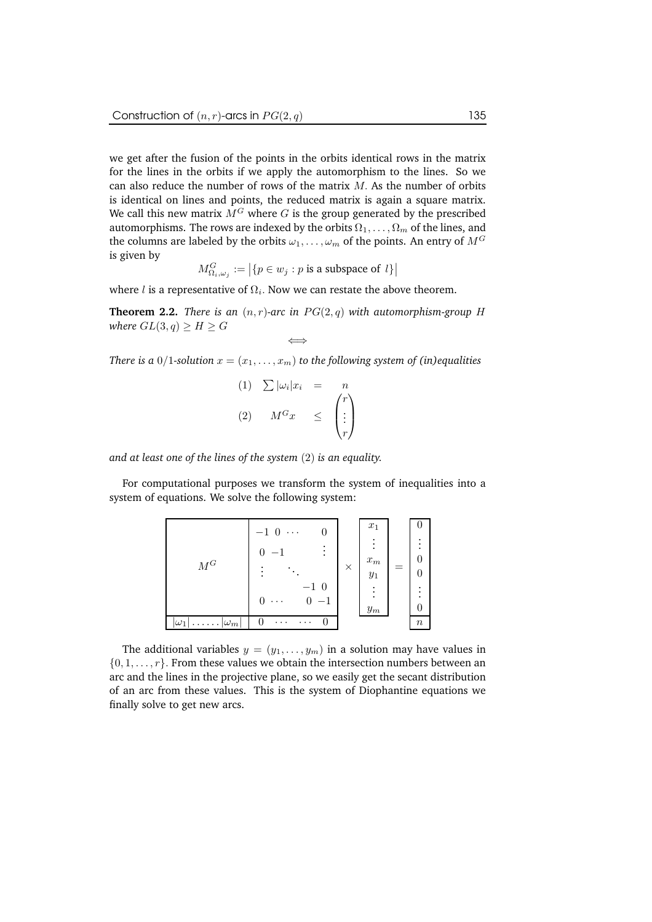we get after the fusion of the points in the orbits identical rows in the matrix for the lines in the orbits if we apply the automorphism to the lines. So we can also reduce the number of rows of the matrix  $M$ . As the number of orbits is identical on lines and points, the reduced matrix is again a square matrix. We call this new matrix  $\overline{M}^G$  where G is the group generated by the prescribed automorphisms. The rows are indexed by the orbits  $\Omega_1, \ldots, \Omega_m$  of the lines, and the columns are labeled by the orbits  $\omega_1, \ldots, \omega_m$  of the points. An entry of  $M^G$ is given by

$$
M_{\Omega_i,\omega_j}^G:=\left|\{p\in w_j : p \text{ is a subspace of }l\}\right|
$$

where  $l$  is a representative of  $\Omega_i.$  Now we can restate the above theorem.

**Theorem 2.2.** *There is an*  $(n, r)$ -arc *in*  $PG(2, q)$  *with automorphism-group* H *where*  $GL(3,q) \geq H \geq G$ ⇐⇒

*There is a* 0/1-solution  $x = (x_1, \ldots, x_m)$  *to the following system of (in)equalities* 

$$
(1) \sum |\omega_i| x_i = n
$$
  

$$
(2) \quad M^G x \leq {\binom{r}{\vdots}}
$$

*and at least one of the lines of the system* (2) *is an equality.*

For computational purposes we transform the system of inequalities into a system of equations. We solve the following system:

| ${\cal M}^G$                        | $-1$ 0<br>.<br>$\bullet$<br>$-1$ 0<br>$^{\rm -1}$<br>U | $\times$ | $x_1$<br>٠<br>٠<br>$\boldsymbol{x}_{m}$<br>$y_1$<br>٠<br>٠<br>$\sqrt{y_m}$ | ٠<br>$\mathcal{O}$<br>٠<br>٠ |
|-------------------------------------|--------------------------------------------------------|----------|----------------------------------------------------------------------------|------------------------------|
| $\ldots  \omega_m $<br>$ \omega_1 $ | 0<br>.<br>$\cdots$                                     |          |                                                                            | $\boldsymbol{n}$             |

The additional variables  $y = (y_1, \ldots, y_m)$  in a solution may have values in  $\{0, 1, \ldots, r\}$ . From these values we obtain the intersection numbers between an arc and the lines in the projective plane, so we easily get the secant distribution of an arc from these values. This is the system of Diophantine equations we finally solve to get new arcs.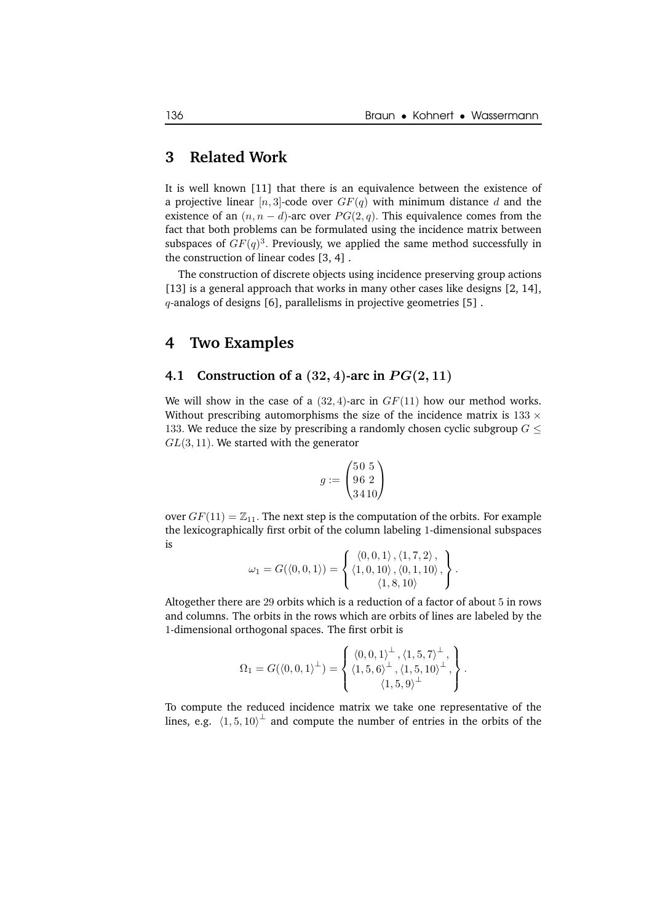### **3 Related Work**

It is well known [11] that there is an equivalence between the existence of a projective linear  $[n, 3]$ -code over  $GF(q)$  with minimum distance d and the existence of an  $(n, n - d)$ -arc over  $PG(2, q)$ . This equivalence comes from the fact that both problems can be formulated using the incidence matrix between subspaces of  $GF(q)^3$ . Previously, we applied the same method successfully in the construction of linear codes [3, 4] .

The construction of discrete objects using incidence preserving group actions [13] is a general approach that works in many other cases like designs [2, 14],  $q$ -analogs of designs [6], parallelisms in projective geometries [5].

### **4 Two Examples**

### **4.1 Construction of a**  $(32, 4)$ -arc in  $PG(2, 11)$

We will show in the case of a  $(32, 4)$ -arc in  $GF(11)$  how our method works. Without prescribing automorphisms the size of the incidence matrix is  $133 \times$ 133. We reduce the size by prescribing a randomly chosen cyclic subgroup  $G \leq$  $GL(3, 11)$ . We started with the generator

$$
g:=\begin{pmatrix}5\,0\,\,5\\9\,6\,\,2\\3\,4\,10\end{pmatrix}
$$

over  $GF(11) = \mathbb{Z}_{11}$ . The next step is the computation of the orbits. For example the lexicographically first orbit of the column labeling 1-dimensional subspaces is

$$
\omega_1 = G(\langle 0, 0, 1 \rangle) = \left\{ \begin{array}{l} \langle 0, 0, 1 \rangle, \langle 1, 7, 2 \rangle, \\ \langle 1, 0, 10 \rangle, \langle 0, 1, 10 \rangle, \\ \langle 1, 8, 10 \rangle \end{array} \right\}.
$$

Altogether there are 29 orbits which is a reduction of a factor of about 5 in rows and columns. The orbits in the rows which are orbits of lines are labeled by the 1-dimensional orthogonal spaces. The first orbit is

$$
\Omega_1 = G(\langle 0, 0, 1 \rangle^{\perp}) = \begin{cases} \langle 0, 0, 1 \rangle^{\perp}, \langle 1, 5, 7 \rangle^{\perp}, \\ \langle 1, 5, 6 \rangle^{\perp}, \langle 1, 5, 10 \rangle^{\perp}, \\ \langle 1, 5, 9 \rangle^{\perp} \end{cases}.
$$

To compute the reduced incidence matrix we take one representative of the lines, e.g.  $\langle 1, 5, 10 \rangle^{\perp}$  and compute the number of entries in the orbits of the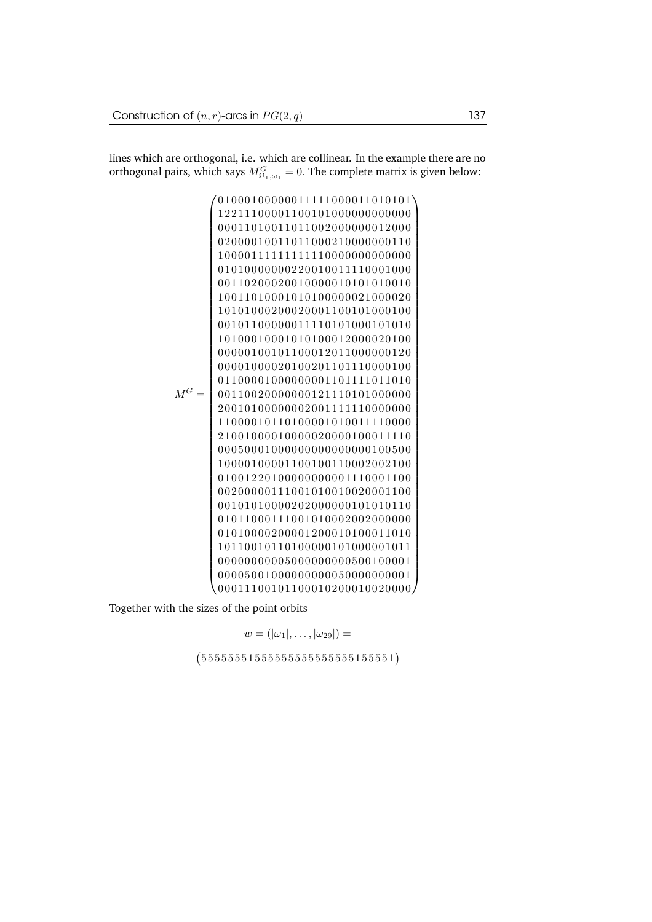lines which are orthogonal, i.e. which are collinear. In the example there are no orthogonal pairs, which says  $M_{\Omega_1, \omega_1}^G = 0.$  The complete matrix is given below:

M<sup>G</sup> = 

Together with the sizes of the point orbits

 $w = (|\omega_1|, \ldots, |\omega_{29}|) =$  $(555555155555555555555551)$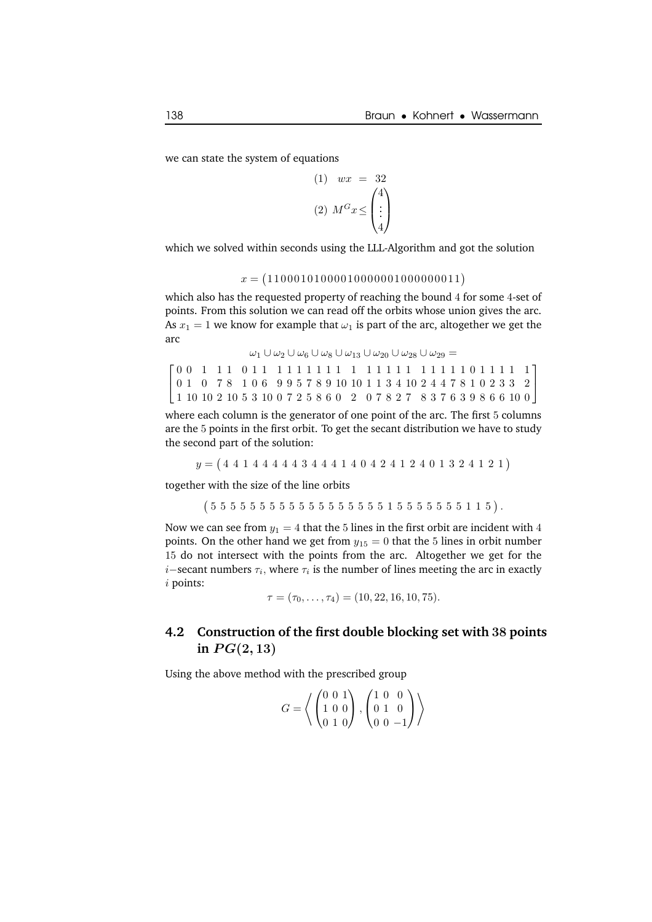we can state the system of equations

$$
\begin{array}{rcl}\n(1) & wx & = & 32 \\
(2) & M^G x \leq \begin{pmatrix} 4 \\ \vdots \\ 4 \end{pmatrix}\n\end{array}
$$

which we solved within seconds using the LLL-Algorithm and got the solution

```
x = (11000101000010000001000000011)
```
which also has the requested property of reaching the bound 4 for some 4-set of points. From this solution we can read off the orbits whose union gives the arc. As  $x_1 = 1$  we know for example that  $\omega_1$  is part of the arc, altogether we get the arc

```
\omega_1 \cup \omega_2 \cup \omega_6 \cup \omega_8 \cup \omega_{13} \cup \omega_{20} \cup \omega_{28} \cup \omega_{29} =
0 0 1 1 1 0 1 1 1 1 1 1 1 1 1 1 1 1 1 1 1 1 1 1 1 1 0 1 1 1 1 1

\mathbf{I}0 1 0 7 8 1 0 6 9 9 5 7 8 9 10 10 1 1 3 4 10 2 4 4 7 8 1 0 2 3 3 2

  1 10 10 2 10 5 3 10 0 7 2 5 8 6 0 2 0 7 8 2 7 8 3 7 6 3 9 8 6 6 10 0
```
where each column is the generator of one point of the arc. The first 5 columns are the 5 points in the first orbit. To get the secant distribution we have to study the second part of the solution:

 $y = (4 4 1 4 4 4 4 4 3 4 4 4 1 4 0 4 2 4 1 2 4 0 1 3 2 4 1 2 1)$ 

together with the size of the line orbits

 $(555555555555555555155555115).$ 

Now we can see from  $y_1 = 4$  that the 5 lines in the first orbit are incident with 4 points. On the other hand we get from  $y_{15} = 0$  that the 5 lines in orbit number 15 do not intersect with the points from the arc. Altogether we get for the *i*−secant numbers  $\tau_i$ , where  $\tau_i$  is the number of lines meeting the arc in exactly i points:

 $\tau = (\tau_0, \ldots, \tau_4) = (10, 22, 16, 10, 75).$ 

### **4.2 Construction of the first double blocking set with** 38 **points** in  $PG(2, 13)$

Using the above method with the prescribed group

$$
G = \left\langle \begin{pmatrix} 0 & 0 & 1 \\ 1 & 0 & 0 \\ 0 & 1 & 0 \end{pmatrix}, \begin{pmatrix} 1 & 0 & 0 \\ 0 & 1 & 0 \\ 0 & 0 & -1 \end{pmatrix} \right\rangle
$$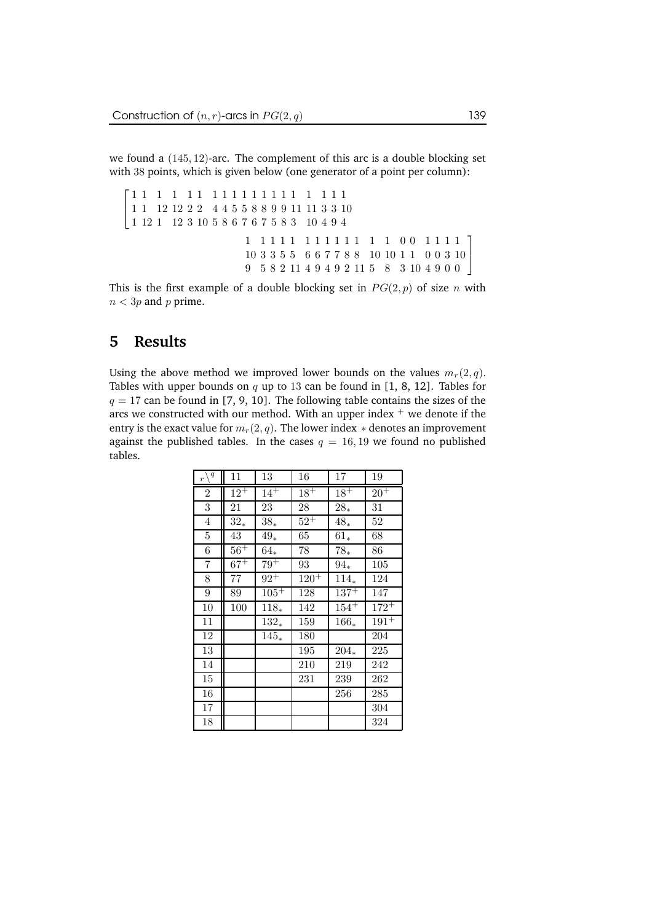we found a (145, 12)-arc. The complement of this arc is a double blocking set with 38 points, which is given below (one generator of a point per column):

 1 1 1 1 1 1 1 1 1 1 1 1 1 1 1 1 1 1 1  $\overline{1}$  1 12 12 2 2 4 4 5 5 8 8 9 9 11 11 3 3 10 12 1 12 3 10 5 8 6 7 6 7 5 8 3 10 4 9 4 1 1 1 1 1 1 1 1 1 1 1 1 0 0 1 1 1 1 3 3 5 5 6 6 7 7 8 8 10 10 1 1 0 0 3 10 5 8 2 11 4 9 4 9 2 11 5 8 3 10 4 9 0 0  $\overline{1}$ 

This is the first example of a double blocking set in  $PG(2, p)$  of size n with  $n < 3p$  and p prime.

# **5 Results**

Using the above method we improved lower bounds on the values  $m_r(2, q)$ . Tables with upper bounds on q up to 13 can be found in [1, 8, 12]. Tables for  $q = 17$  can be found in [7, 9, 10]. The following table contains the sizes of the arcs we constructed with our method. With an upper index  $+$  we denote if the entry is the exact value for  $m_r(2, q)$ . The lower index  $*$  denotes an improvement against the published tables. In the cases  $q = 16, 19$  we found no published tables.

| $\setminus q$<br>$\overline{r}$ | 11       | 13       | 16        | 17        | 19        |
|---------------------------------|----------|----------|-----------|-----------|-----------|
| $\overline{2}$                  | $12^{+}$ | $14^{+}$ | $18^{+}$  | $18^{+}$  | $20+$     |
| 3                               | 21       | 23       | 28        | $28_*$    | 31        |
| $\overline{4}$                  | $32*$    | $38*$    | $52^{+}$  | $48*$     | 52        |
| $\bf 5$                         | $43\,$   | $49*$    | 65        | $61*$     | 68        |
| 6                               | $56+$    | $64_*$   | 78        | $78_*$    | 86        |
| 7                               | $67^{+}$ | $79+$    | 93        | $94_{*}$  | 105       |
| 8                               | 77       | $92^+$   | $120^{+}$ | $114_{*}$ | 124       |
| $\boldsymbol{9}$                | 89       | $105^+$  | 128       | $137+$    | 147       |
| 10                              | 100      | $118_*$  | 142       | $154+$    | $172^{+}$ |
| 11                              |          | $132*$   | 159       | $166*$    | $191^{+}$ |
| 12                              |          | $145*$   | 180       |           | 204       |
| 13                              |          |          | 195       | $204_{*}$ | 225       |
| 14                              |          |          | 210       | 219       | 242       |
| 15                              |          |          | 231       | 239       | 262       |
| 16                              |          |          |           | 256       | 285       |
| 17                              |          |          |           |           | 304       |
| 18                              |          |          |           |           | 324       |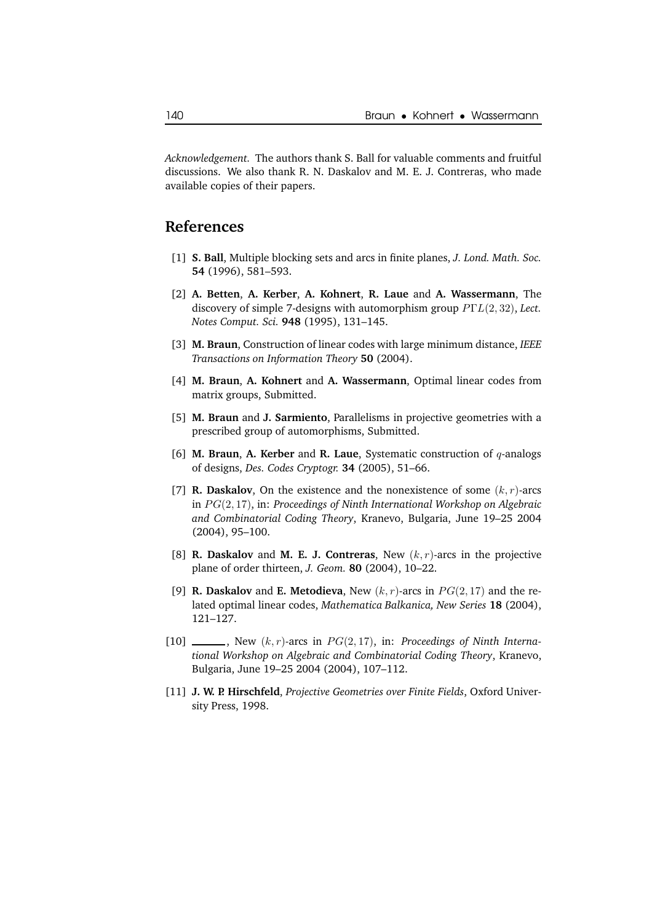*Acknowledgement.* The authors thank S. Ball for valuable comments and fruitful discussions. We also thank R. N. Daskalov and M. E. J. Contreras, who made available copies of their papers.

## **References**

- [1] **S. Ball**, Multiple blocking sets and arcs in finite planes, *J. Lond. Math. Soc.* **54** (1996), 581–593.
- [2] **A. Betten**, **A. Kerber**, **A. Kohnert**, **R. Laue** and **A. Wassermann**, The discovery of simple 7-designs with automorphism group PΓL(2, 32), *Lect. Notes Comput. Sci.* **948** (1995), 131–145.
- [3] **M. Braun**, Construction of linear codes with large minimum distance, *IEEE Transactions on Information Theory* **50** (2004).
- [4] **M. Braun**, **A. Kohnert** and **A. Wassermann**, Optimal linear codes from matrix groups, Submitted.
- [5] **M. Braun** and **J. Sarmiento**, Parallelisms in projective geometries with a prescribed group of automorphisms, Submitted.
- [6] **M. Braun**, **A. Kerber** and **R. Laue**, Systematic construction of q-analogs of designs, *Des. Codes Cryptogr.* **34** (2005), 51–66.
- [7] **R. Daskalov**, On the existence and the nonexistence of some  $(k, r)$ -arcs in PG(2, 17), in: *Proceedings of Ninth International Workshop on Algebraic and Combinatorial Coding Theory*, Kranevo, Bulgaria, June 19–25 2004 (2004), 95–100.
- [8] **R. Daskalov** and **M. E. J. Contreras**, New (k, r)-arcs in the projective plane of order thirteen, *J. Geom.* **80** (2004), 10–22.
- [9] **R. Daskalov** and **E. Metodieva**, New  $(k, r)$ -arcs in  $PG(2, 17)$  and the related optimal linear codes, *Mathematica Balkanica, New Series* **18** (2004), 121–127.
- $[10]$  \_\_\_\_\_\_, New  $(k, r)$ -arcs in  $PG(2, 17)$ , in: *Proceedings* of *Ninth International Workshop on Algebraic and Combinatorial Coding Theory*, Kranevo, Bulgaria, June 19–25 2004 (2004), 107–112.
- [11] **J. W. P. Hirschfeld**, *Projective Geometries over Finite Fields*, Oxford University Press, 1998.